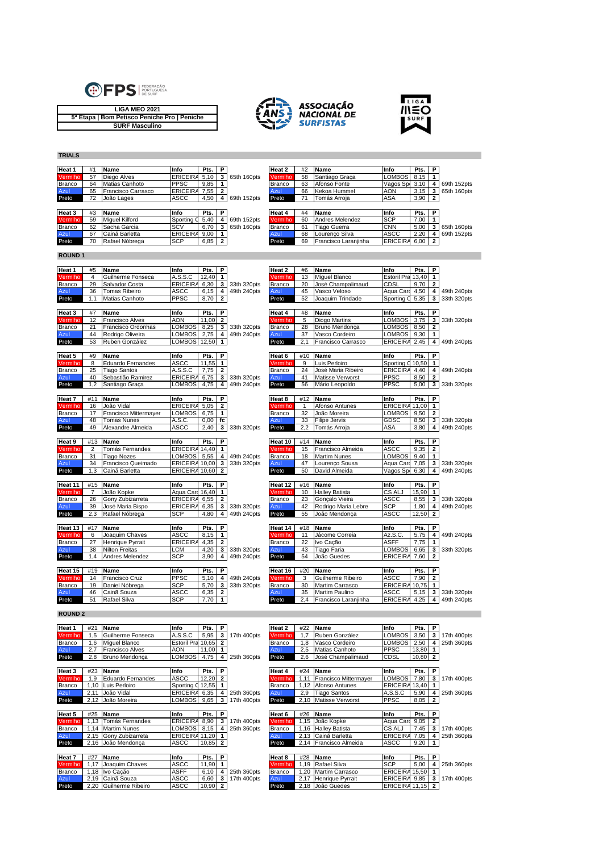

**TRIALS**







## **Heat 1** #1 **Name Info Pts. P Heat 2** #2 **Name Info Pts. P** Vermlho 57 Diego Alves **ERICEIRA 5,10 3** 65th 160pts Vermlho 58 Santiago Graça LOMBOS 8,15 1<br>Branco 64 Matias Canhoto PPSC 9,85 1 Branco 64 Matias Canhoto PPSC 9,85 **1** Branco 63 Afonso Fonte Vagos Sport Clube 3,10 **4** 69th 152pts Azul 65 Francisco Carrasco ERICEIRASC7,55 **2** Azul 66 Kekoa Hummel AON 3,15 **3** 65th 160pts **ASCC** 4,50 **4** 69th 152pts **Heat 3** #3 **Name Info Pts. P Heat 4** #4 **Name Info Pts. P** Vermlho 59 Miguel Kilford Sporting CP5,40 **4** 69th 152pts Vermlho 60 Andres Melendez SCP 7,00 **1** Branco 62 Sacha Garcia SCV 6,70 **3** 65th 160pts Branco 61 Tiago Guerra CNN 5,00 **3** 65th 160pts **Example 69 Miguel Kilford Sporting 5,40 4 69th 152pts Vermilho 60 Andres Melendez SCP 7,00 1<br>
Branco 62 Sacha Garcia SCV 6,70 3 65th 160pts Branco 61 Tiago Guerra CMN 5,200 3 65th 160pts<br>
Azul 68 Francisco Laranjinha ERI Preto** 70 **Preto** 69 **Francisco Laranjin ROUND 1 Heat 1** #5 **Name Info Pts. P Heat 2** #6 **Name Info Pts. P** Vermlho 4 Guilherme Fonseca A.S.S.C 12,40 **1** Vermlho 13 Miguel Blanco Estoril Praia13,40 **1** Branco 29 Salvador Costa ERICEIRASC6,30 **3** 33th 320pts Branco 20 José Champalimaud CDSL 9,70 **2** Azul 36 Tomas Ribeiro ASCC 6,15 **4** 49th 240pts Azul 45 Vasco Veloso Aqua Carca4,50 **4** 49th 240pts Preto 1,1 Matias Canhoto PPSC 8,70 **2** Preto 52 Joaquim Trindade Sporting CP5,35 **3** 33th 320pts **Heat 3** #7 **Name Info Pts. P Heat 4** #8 **Name Info Pts. P** Vermlho 12 Francisco Alves AON 11,00 **2** Vermlho 5 Diogo Martins LOMBOS 3,75 **3** 33th 320pts Branco 21 Francisco Ordonhas LOMBOS 8,25 **3** 33th 320pts Branco 28 Bruno Mendonça LOMBOS 8,50 **2** Azul 44 Rodrigo Oliveira LOMBOS 2,75 **4** 49th 240pts Azul 37 Vasco Cordeiro LOMBOS 9,30 **1 Preto** 2,1 Francisco Carrasco ERICEIR<br> **Preto** 2,1 Francisco Carrasco ERICEIR **Heat 5** #9 **Name Info Pts. P Heat 6** #10 **Name Info Pts. P** Vermlho 8 Eduardo Fernandes ASCC 11,55 **1** Vermlho 9 Luis Perloiro Sporting CP10,50 **1** 25 Tiago Santos **A.S.S.C 7,75 2** Branco 24 José Maria Ribeiro ERICEIRA 4,40 4 49th 240pts<br>40 Sebastião Ramirez ERICEIRA 6,75 3 33th 320pts Azul 41 Matisse Verworst PPSC 8,50 2 Azul 40 Sebastião Ramirez ERICEIRA 6,75 **3** 33th 320pts Azul 41 Matisse Verworst<br>Preto 12 Santiago Graca II OMBOS 4.75 4, 49th 240pts Preto 56 Mário Leopoldo Preto 1,2 Santiago Graça LOMBOS 4,75 **4** 49th 240pts Preto 56 Mário Leopoldo PPSC 5,00 **3** 33th 320pts **Heat 7** #11 **Name Info Pts. P Heat 8** #12 **Name Info Pts. P** Vermlho 16 João Vidal ERICEIRASC5,05 **2** Vermlho 1 Afonso Antunes ERICEIRASC11,00 **1** Branco 17 Francisco Mittermayer LOMBOS 6,75 **1** Branco 32 João Moreira LOMBOS 9,50 **2** Azul 48 Tomas Nunes A.S.C. 0,00 **fc** Azul 33 Filipe Jervis GDSC 8,50 **3** 33th 320pts Preto 49 Alexandre Almeida ASCC 2,40 **3** 33th 320pts Preto 2,2 Tomás Arroja ASA 3,80 **4** 49th 240pts **Heat 9** #13 **Name Info Pts. P Heat 10** #14 **Name Info Pts. P Vermlho 2 Tomás Fernandes 19 1998 11:44 Francisco Almeida** Press, P. 1998 11:45 **Vermlho 11:414 Name** 11:5 **12 11:45 12:45 12:45 12:45 12:45 12:45 12:45 12:45 12:45 12:46 14:46 14:46 14:46 14:46 14:46 14:46 14:46 14:4** Branco 31 Tiago Nozes LOMBOS 5,55 **4** 49th 240pts Branco 18 Martim Nunes LOMBOS 9,40 **1 Azul 34 Francisco Queimado** ERICEIRA 10,00 **3** 33th 320pts **Azul 47 Lourenço Sousa** Aqua Card 7,05 **3** 33th 320pts<br>Preto 1,3 Cainã Barletta ERICEIRA 10,60 **2** Preto 50 David Almeida Vagos Sp 6,30 **4** 49th 240pts 50 David Almeida **Heat 11** #15 **Name Info Pts. P Heat 12** #16 **Name Info Pts. P** Vermlho 7 João Kopke **Aqua Carl 16,40 <b>1**<br>
Branco 26 Gony Zubizarreta ERICEIRA 6,55 **2**<br>
Azul 39 José Maria Bispo ERICEIRA 6,35 3 33th 320pts Azul 42 Rodrigo Maria Lebre SCP 1,80 4 Branco 26 Gony Zubizarreta ERICEIRASC6,55 **2** Branco 23 Gonçalo Vieira ASCC 8,55 **3** 33th 320pts Azul 39 José Maria Bispo ERICEIRASC6,35 **3** 33th 320pts Azul 42 Rodrigo Maria Lebre SCP 1,80 **4** 49th 240pts Preto 2,3 Rafael Nóbrega SCP 4,80 **4** 49th 240pts Preto 55 João Mendonça ASCC 12,50 **2 Heat 13** #17 **Name Info Pts. P Heat 14** #18 **Name Info Pts. P** Vermlho 6 Joaquim Chaves ASCC 8,15 **1** Vermlho 11 Jácome Correia Az.S.C. 5,75 **4** 49th 240pts **Branco 27 Henrique Pyrrait ERICEIRA 4,35 <b>2 Branco** 22 Ivo Cação **ASFF 7,75 1**<br> **Azul** 38 Nilton Freitas LCM 4,20 3 33th 320pts Azul 43 Tiago Faria LOMBOS 6,65 3 Azul 38 Nilton Freitas LCM 4,20 **3** 33th 320pts Azul 43 Tiago Faria LOMBOS 6,65 **3** 33th 320pts Preto 1,4 Andres Melendez SCP 3,90 **4** 49th 240pts Preto 54 João Guedes ERICEIRA 7,60 **2 Heat 15** #19 **Name Info Pts. P Heat 16** #20 **Name Info Pts. P** Vermlho 14 Francisco Cruz PPSC | 5,10 | 4 | 49th 240pts Vermlho 3 | Guilherme Ribeiro | ASCC | 7,90 | 2<br>Branco | 19 | Daniel Nóbrega SCP | 5,70 | 3 | 33th 320pts | Branco | 30 | Martim Carrasco | ERICEIRA 10,75 | 1 Branco 19 Daniel Nóbrega SCP 5,70 **3** 33th 320pts Branco 30 Martim Carrasco ERICEIRA 10,75 **1**<br>Azul 46 Cainã Souza ASCC 6,35 2<br>Preto 2,4 Francisco Laranjinha ERICEIRA 4,25 4 49th 240pts **Preto**  $\begin{array}{|c|c|c|c|c|}\n\hline\n\text{61} & \text{Rafael Silva} \\
\hline\n\end{array}\n\qquad\n\begin{array}{|c|c|c|c|}\n\hline\n\end{array}\n\qquad\n\begin{array}{|c|c|c|}\n\hline\n\end{array}\n\qquad\n\begin{array}{|c|c|c|}\n\hline\n\end{array}\n\qquad\n\begin{array}{|c|c|c|}\n\hline\n\end{array}\n\qquad\n\begin{array}{|c|c|c|c|}\n\hline\n\end{array}\n\qquad\n\begin{array}{|c|c|c|c|}\n\$ **ROUND 2 Heat 1** #21 **Name Info Pts. P Heat 2** #22 **Name Info Pts. P** Vermlho 1,5 Guilherme Fonseca A.S.S.C 5,95 **3** 17th 400pts Vermlho 1,7 Ruben González LOMBOS 3,50 **3** 17th 400pts Branco 1,6 Miguel Blanco Estoril Praia10,65 **2** Branco 1,8 Vasco Cordeiro LOMBOS 2,50 **4** 25th 360pts 2,7 Francisco Alves Preto 2,8 Bruno Mendonça LOMBOS 4,75 **4** 25th 360pts Preto 2,6 José Champalimaud CDSL 10,80 **2 Heat 3** #23 **Name Info Pts. P Heat 4** #24 **Name Info Pts. P** Vermlho 1,11 Francisco Mittermayer LOMBOS 7,80 **3** 17th 400pts<br>
1,10 Luis Perloiro Sporting 0 12,55 1<br>
2,11 João Vidal ERICEIRA 6,35 4 25th 360pts Azul 2,9 Tiago Santos A.S.S.C 5,90 4 25th 360pts Branco | 1,10 |Luis Perloiro | Sporting **Q** 12,55 | 1 Branco | 1,12 |Afonso Antunes |ERICEIR*A* 13,40 | 1 |<br>Azul 2,11 |João Vidal |ERICEIR*A* 6,35 | 4 | 25th 360pts Azul 2,9 |Tiago Santos